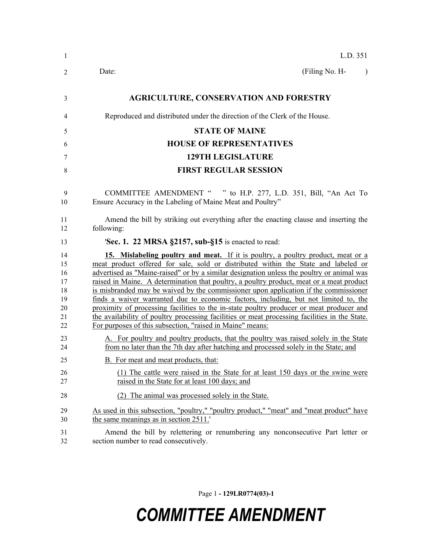| 1                                                  | L.D. 351                                                                                                                                                                                                                                                                                                                                                                                                                                                                                                                                                                                                                                                                                                                                                                                                  |
|----------------------------------------------------|-----------------------------------------------------------------------------------------------------------------------------------------------------------------------------------------------------------------------------------------------------------------------------------------------------------------------------------------------------------------------------------------------------------------------------------------------------------------------------------------------------------------------------------------------------------------------------------------------------------------------------------------------------------------------------------------------------------------------------------------------------------------------------------------------------------|
| 2                                                  | (Filing No. H-<br>Date:<br>$\lambda$                                                                                                                                                                                                                                                                                                                                                                                                                                                                                                                                                                                                                                                                                                                                                                      |
| 3                                                  | <b>AGRICULTURE, CONSERVATION AND FORESTRY</b>                                                                                                                                                                                                                                                                                                                                                                                                                                                                                                                                                                                                                                                                                                                                                             |
| 4                                                  | Reproduced and distributed under the direction of the Clerk of the House.                                                                                                                                                                                                                                                                                                                                                                                                                                                                                                                                                                                                                                                                                                                                 |
| 5                                                  | <b>STATE OF MAINE</b>                                                                                                                                                                                                                                                                                                                                                                                                                                                                                                                                                                                                                                                                                                                                                                                     |
| 6                                                  | <b>HOUSE OF REPRESENTATIVES</b>                                                                                                                                                                                                                                                                                                                                                                                                                                                                                                                                                                                                                                                                                                                                                                           |
| 7                                                  | <b>129TH LEGISLATURE</b>                                                                                                                                                                                                                                                                                                                                                                                                                                                                                                                                                                                                                                                                                                                                                                                  |
| 8                                                  | <b>FIRST REGULAR SESSION</b>                                                                                                                                                                                                                                                                                                                                                                                                                                                                                                                                                                                                                                                                                                                                                                              |
| 9<br>10                                            | COMMITTEE AMENDMENT " " to H.P. 277, L.D. 351, Bill, "An Act To<br>Ensure Accuracy in the Labeling of Maine Meat and Poultry"                                                                                                                                                                                                                                                                                                                                                                                                                                                                                                                                                                                                                                                                             |
| 11<br>12                                           | Amend the bill by striking out everything after the enacting clause and inserting the<br>following:                                                                                                                                                                                                                                                                                                                                                                                                                                                                                                                                                                                                                                                                                                       |
| 13                                                 | 'Sec. 1. 22 MRSA $\S$ 2157, sub- $\S$ 15 is enacted to read:                                                                                                                                                                                                                                                                                                                                                                                                                                                                                                                                                                                                                                                                                                                                              |
| 14<br>15<br>16<br>17<br>18<br>19<br>20<br>21<br>22 | 15. Mislabeling poultry and meat. If it is poultry, a poultry product, meat or a<br>meat product offered for sale, sold or distributed within the State and labeled or<br>advertised as "Maine-raised" or by a similar designation unless the poultry or animal was<br>raised in Maine. A determination that poultry, a poultry product, meat or a meat product<br>is misbranded may be waived by the commissioner upon application if the commissioner<br>finds a waiver warranted due to economic factors, including, but not limited to, the<br>proximity of processing facilities to the in-state poultry producer or meat producer and<br>the availability of poultry processing facilities or meat processing facilities in the State.<br>For purposes of this subsection, "raised in Maine" means: |
| 23<br>24                                           | A. For poultry and poultry products, that the poultry was raised solely in the State<br>from no later than the 7th day after hatching and processed solely in the State; and                                                                                                                                                                                                                                                                                                                                                                                                                                                                                                                                                                                                                              |
| 25                                                 | B. For meat and meat products, that:                                                                                                                                                                                                                                                                                                                                                                                                                                                                                                                                                                                                                                                                                                                                                                      |
| 26<br>27                                           | (1) The cattle were raised in the State for at least 150 days or the swine were<br>raised in the State for at least 100 days; and                                                                                                                                                                                                                                                                                                                                                                                                                                                                                                                                                                                                                                                                         |
| 28                                                 | (2) The animal was processed solely in the State.                                                                                                                                                                                                                                                                                                                                                                                                                                                                                                                                                                                                                                                                                                                                                         |
| 29<br>30                                           | As used in this subsection, "poultry," "poultry product," "meat" and "meat product" have<br>the same meanings as in section 2511.                                                                                                                                                                                                                                                                                                                                                                                                                                                                                                                                                                                                                                                                         |
| 31<br>32                                           | Amend the bill by relettering or renumbering any nonconsecutive Part letter or<br>section number to read consecutively.                                                                                                                                                                                                                                                                                                                                                                                                                                                                                                                                                                                                                                                                                   |

Page 1 **- 129LR0774(03)-1**

## *COMMITTEE AMENDMENT*